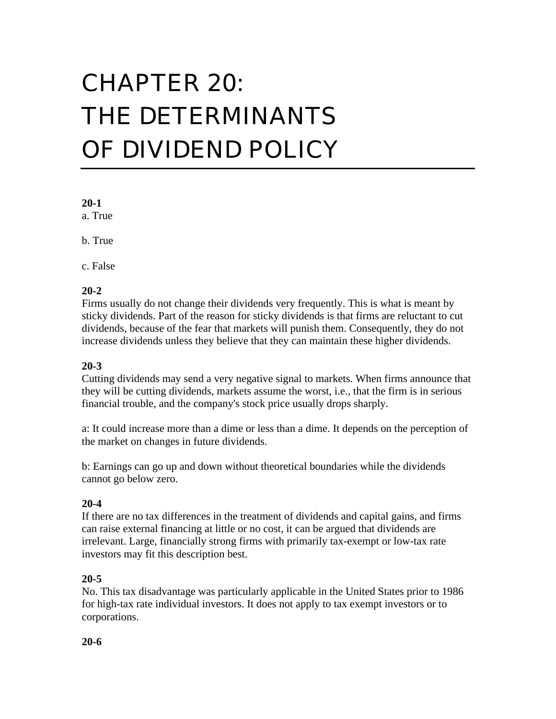# CHAPTER 20: THE DETERMINANTS OF DIVIDEND POLICY

## **20-1**

a. True

b. True

c. False

## **20-2**

Firms usually do not change their dividends very frequently. This is what is meant by sticky dividends. Part of the reason for sticky dividends is that firms are reluctant to cut dividends, because of the fear that markets will punish them. Consequently, they do not increase dividends unless they believe that they can maintain these higher dividends.

## **20-3**

Cutting dividends may send a very negative signal to markets. When firms announce that they will be cutting dividends, markets assume the worst, i.e., that the firm is in serious financial trouble, and the company's stock price usually drops sharply.

a: It could increase more than a dime or less than a dime. It depends on the perception of the market on changes in future dividends.

b: Earnings can go up and down without theoretical boundaries while the dividends cannot go below zero.

## **20-4**

If there are no tax differences in the treatment of dividends and capital gains, and firms can raise external financing at little or no cost, it can be argued that dividends are irrelevant. Large, financially strong firms with primarily tax-exempt or low-tax rate investors may fit this description best.

## **20-5**

No. This tax disadvantage was particularly applicable in the United States prior to 1986 for high-tax rate individual investors. It does not apply to tax exempt investors or to corporations.

## **20-6**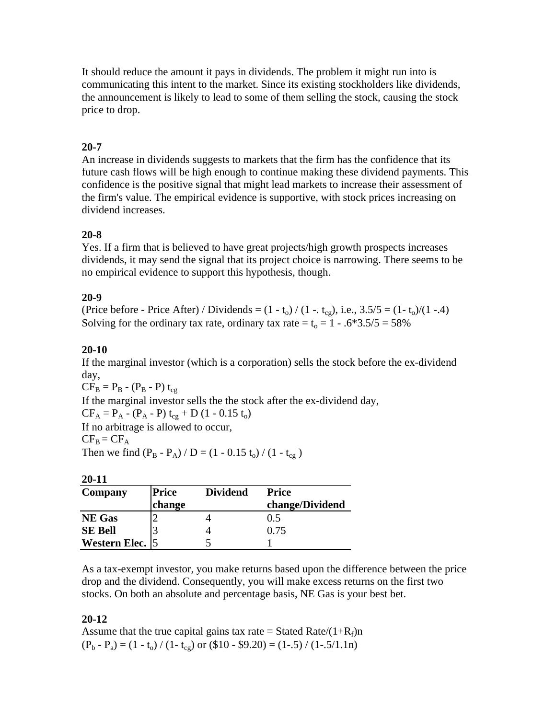It should reduce the amount it pays in dividends. The problem it might run into is communicating this intent to the market. Since its existing stockholders like dividends, the announcement is likely to lead to some of them selling the stock, causing the stock price to drop.

# **20-7**

An increase in dividends suggests to markets that the firm has the confidence that its future cash flows will be high enough to continue making these dividend payments. This confidence is the positive signal that might lead markets to increase their assessment of the firm's value. The empirical evidence is supportive, with stock prices increasing on dividend increases.

# **20-8**

Yes. If a firm that is believed to have great projects/high growth prospects increases dividends, it may send the signal that its project choice is narrowing. There seems to be no empirical evidence to support this hypothesis, though.

# **20-9**

(Price before - Price After) / Dividends =  $(1 - t_0) / (1 - t_{cg})$ , i.e.,  $3.5/5 = (1 - t_0) / (1 - .4)$ Solving for the ordinary tax rate, ordinary tax rate =  $t_0 = 1 - .6*3.5/5 = 58\%$ 

# **20-10**

If the marginal investor (which is a corporation) sells the stock before the ex-dividend day,

 $CF_B = P_B - (P_B - P) t_{cg}$ If the marginal investor sells the the stock after the ex-dividend day,  $CF_A = P_A - (P_A - P) t_{cg} + D (1 - 0.15 t_0)$ If no arbitrage is allowed to occur,  $CF_B = CF_A$ Then we find  $(P_B - P_A) / D = (1 - 0.15 t_0) / (1 - t_{cg})$ 

| × |  |
|---|--|

| - - -           |              |                 |                 |
|-----------------|--------------|-----------------|-----------------|
| Company         | <b>Price</b> | <b>Dividend</b> | <b>Price</b>    |
|                 | change       |                 | change/Dividend |
| <b>NE</b> Gas   |              |                 | 0.5             |
| <b>SE Bell</b>  |              |                 | 0.75            |
| Western Elec. 5 |              |                 |                 |

As a tax-exempt investor, you make returns based upon the difference between the price drop and the dividend. Consequently, you will make excess returns on the first two stocks. On both an absolute and percentage basis, NE Gas is your best bet.

# **20-12**

Assume that the true capital gains tax rate = Stated Rate/ $(1+R_f)n$  $(P_b - P_a) = (1 - t_o) / (1 - t_{cg})$  or  $(\$10 - \$9.20) = (1-.5) / (1-.5/1.1n)$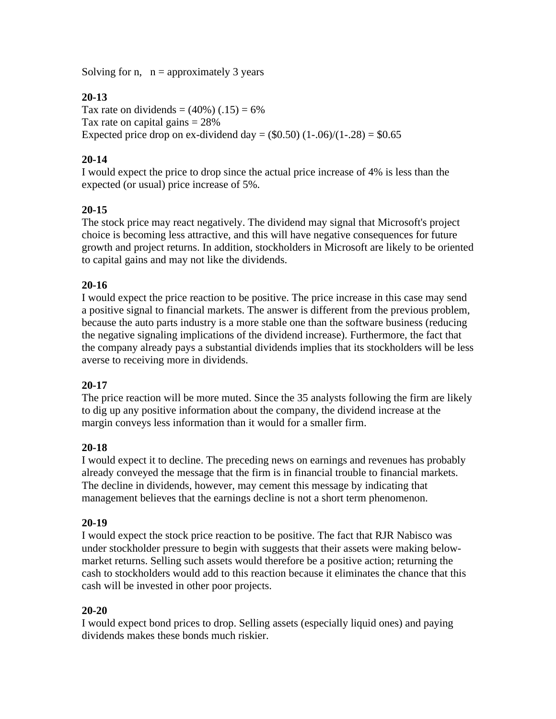Solving for n,  $n =$  approximately 3 years

# **20-13**

Tax rate on dividends =  $(40\%) (0.15) = 6\%$ Tax rate on capital gains  $= 28\%$ Expected price drop on ex-dividend day =  $(\$0.50)$   $(1-.06)/(1-.28) = \$0.65$ 

# **20-14**

I would expect the price to drop since the actual price increase of 4% is less than the expected (or usual) price increase of 5%.

# **20-15**

The stock price may react negatively. The dividend may signal that Microsoft's project choice is becoming less attractive, and this will have negative consequences for future growth and project returns. In addition, stockholders in Microsoft are likely to be oriented to capital gains and may not like the dividends.

# **20-16**

I would expect the price reaction to be positive. The price increase in this case may send a positive signal to financial markets. The answer is different from the previous problem, because the auto parts industry is a more stable one than the software business (reducing the negative signaling implications of the dividend increase). Furthermore, the fact that the company already pays a substantial dividends implies that its stockholders will be less averse to receiving more in dividends.

# **20-17**

The price reaction will be more muted. Since the 35 analysts following the firm are likely to dig up any positive information about the company, the dividend increase at the margin conveys less information than it would for a smaller firm.

# **20-18**

I would expect it to decline. The preceding news on earnings and revenues has probably already conveyed the message that the firm is in financial trouble to financial markets. The decline in dividends, however, may cement this message by indicating that management believes that the earnings decline is not a short term phenomenon.

# **20-19**

I would expect the stock price reaction to be positive. The fact that RJR Nabisco was under stockholder pressure to begin with suggests that their assets were making belowmarket returns. Selling such assets would therefore be a positive action; returning the cash to stockholders would add to this reaction because it eliminates the chance that this cash will be invested in other poor projects.

## **20-20**

I would expect bond prices to drop. Selling assets (especially liquid ones) and paying dividends makes these bonds much riskier.